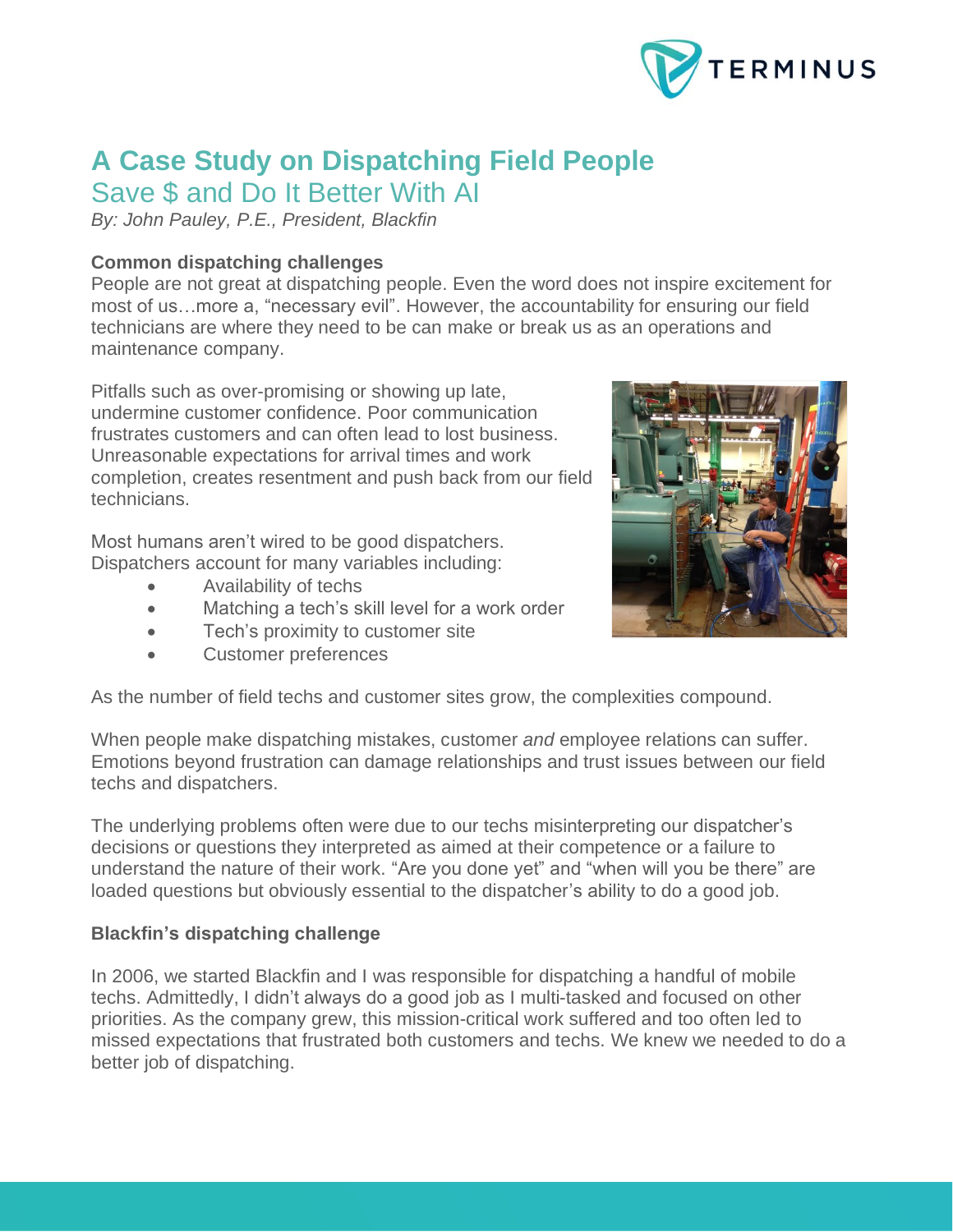

# **A Case Study on Dispatching Field People**

Save \$ and Do It Better With AI

*By: John Pauley, P.E., President, Blackfin*

# **Common dispatching challenges**

People are not great at dispatching people. Even the word does not inspire excitement for most of us…more a, "necessary evil". However, the accountability for ensuring our field technicians are where they need to be can make or break us as an operations and maintenance company.

Pitfalls such as over-promising or showing up late, undermine customer confidence. Poor communication frustrates customers and can often lead to lost business. Unreasonable expectations for arrival times and work completion, creates resentment and push back from our field technicians.

Most humans aren't wired to be good dispatchers. Dispatchers account for many variables including:

- Availability of techs
- Matching a tech's skill level for a work order
- Tech's proximity to customer site
- Customer preferences



As the number of field techs and customer sites grow, the complexities compound.

When people make dispatching mistakes, customer *and* employee relations can suffer. Emotions beyond frustration can damage relationships and trust issues between our field techs and dispatchers.

The underlying problems often were due to our techs misinterpreting our dispatcher's decisions or questions they interpreted as aimed at their competence or a failure to understand the nature of their work. "Are you done yet" and "when will you be there" are loaded questions but obviously essential to the dispatcher's ability to do a good job.

## **Blackfin's dispatching challenge**

In 2006, we started Blackfin and I was responsible for dispatching a handful of mobile techs. Admittedly, I didn't always do a good job as I multi-tasked and focused on other priorities. As the company grew, this mission-critical work suffered and too often led to missed expectations that frustrated both customers and techs. We knew we needed to do a better job of dispatching.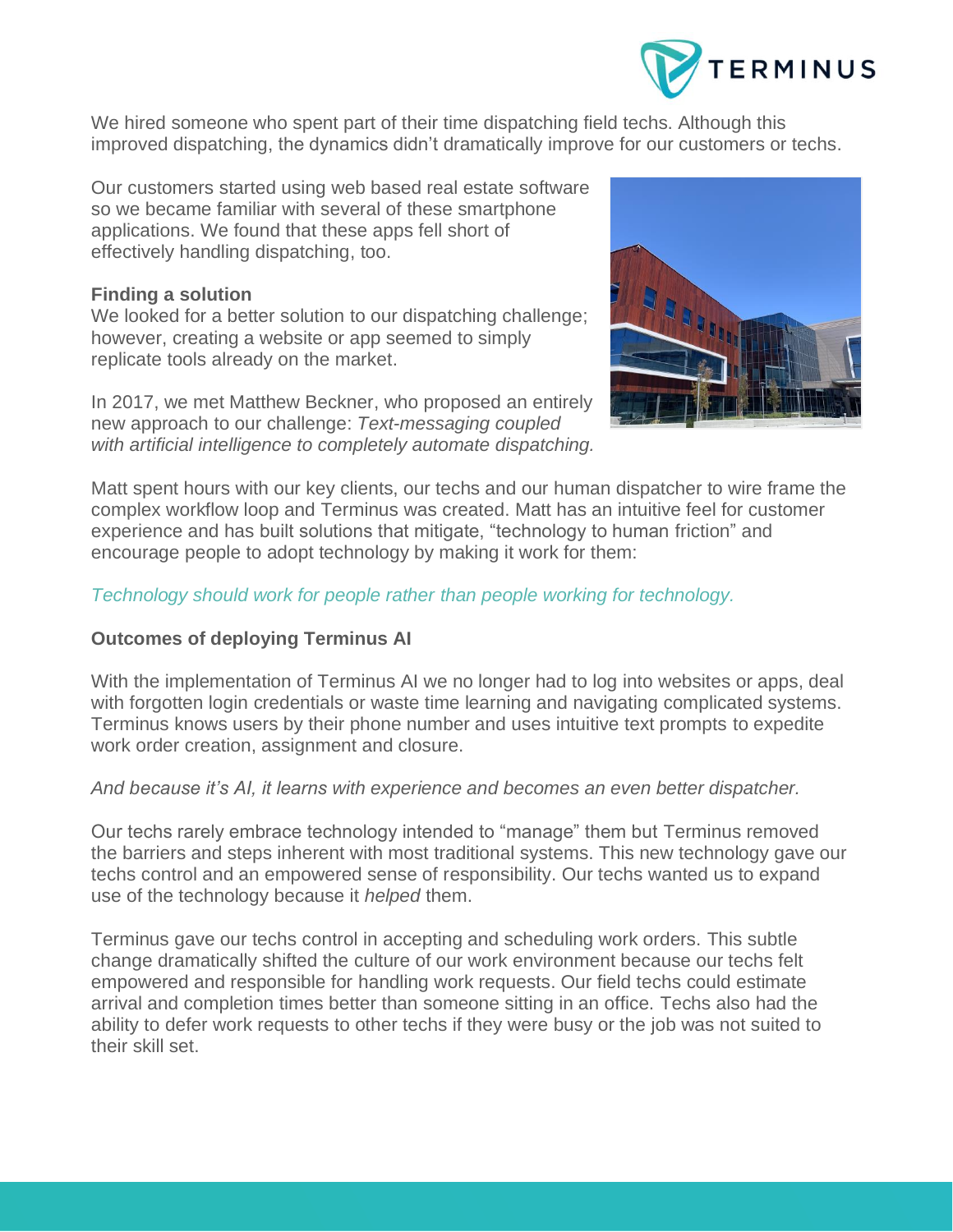

We hired someone who spent part of their time dispatching field techs. Although this improved dispatching, the dynamics didn't dramatically improve for our customers or techs.

Our customers started using web based real estate software so we became familiar with several of these smartphone applications. We found that these apps fell short of effectively handling dispatching, too.

#### **Finding a solution**

We looked for a better solution to our dispatching challenge; however, creating a website or app seemed to simply replicate tools already on the market.

In 2017, we met Matthew Beckner, who proposed an entirely new approach to our challenge: *Text-messaging coupled with artificial intelligence to completely automate dispatching.* 



Matt spent hours with our key clients, our techs and our human dispatcher to wire frame the complex workflow loop and [Terminus](file:///C:/Users/jmesm/AppData/Local/Packages/Microsoft.MicrosoftEdge_8wekyb3d8bbwe/TempState/Downloads/Terminus.AI) was created. Matt has an intuitive feel for customer experience and has built solutions that mitigate, "technology to human friction" and encourage people to adopt technology by making it work for them:

### *Technology should work for people rather than people working for technology.*

### **Outcomes of deploying Terminus AI**

With the implementation of Terminus AI we no longer had to log into websites or apps, deal with forgotten login credentials or waste time learning and navigating complicated systems. Terminus knows users by their phone number and uses intuitive text prompts to expedite work order creation, assignment and closure.

#### *And because it's AI, it learns with experience and becomes an even better dispatcher.*

Our techs rarely embrace technology intended to "manage" them but [Terminus](file:///C:/Users/jmesm/AppData/Local/Packages/Microsoft.MicrosoftEdge_8wekyb3d8bbwe/TempState/Downloads/Terminus.AI) removed the barriers and steps inherent with most traditional systems. This new technology gave our techs control and an empowered sense of responsibility. Our techs wanted us to expand use of the technology because it *helped* them.

[Terminus](file:///C:/Users/jmesm/AppData/Local/Packages/Microsoft.MicrosoftEdge_8wekyb3d8bbwe/TempState/Downloads/Terminus.AI) gave our techs control in accepting and scheduling work orders. This subtle change dramatically shifted the culture of our work environment because our techs felt empowered and responsible for handling work requests. Our field techs could estimate arrival and completion times better than someone sitting in an office. Techs also had the ability to defer work requests to other techs if they were busy or the job was not suited to their skill set.